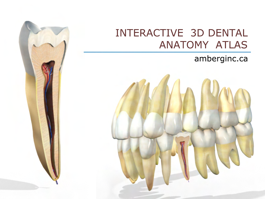# INTERACTIVE 3D DENTAL ANATOMY ATLAS

## amberginc.ca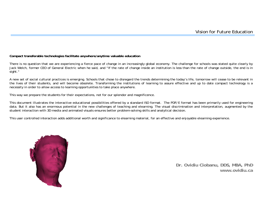#### **Compact transferable technologies facilitate anywhere/anytime valuable education**

There is no question that we are experiencing a fierce pace of change in an increasingly global economy. The challenge for schools was stated quite clearly by Jack Welch, former CEO of General Electric when he said, and "If the rate of change inside an institution is less than the rate of change outside, the end is in sight."

A new set of social cultural practices is emerging. Schools that chose to disregard the trends determining the today's life, tomorrow will cease to be relevant in the lives of their students, and will become obsolete. Transforming the institutions of learning to assure effective and up to date compact technology is a necessity in order to allow access to learning opportunities to take place anywhere.

This way we prepare the students for their expectations, not for our splendor and magnificence.

This document illustrates the interactive educational possibilities offered by a standard ISO format. The PDF/E format has been primarily used for engineering data. But it also has an enormous potential in the new challenges of teaching and elearning. The visual discrimination and interpretation, augmented by the student interaction with 3D media and animated visuals ensures better problem-solving skills and analytical decision.

This user controlled interaction adds additional worth and significance to elearning material, for an effective and enjoyable elearning experience.



**Dr. Ovidiu Ciobanu, DDS, MBA, PhD www.ovidiu.ca**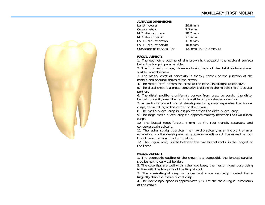#### **AVERAGE DIMENSIONS:**

Length overall 20.8 mm. Crown height 7.7 mm. M.D. dia. of crown 10.7 mm. M.D. dia at cervix 7.5 mm. Fa. Li. dia. of crown 11.8 mm. Fa. Li. dia. at cervix 10.8 mm. Curvature of cervical line  $1.0 \text{ mm}$ . M.; 0.0 mm. D.

#### **FACIAL ASPECT:**

1. The geometric outline of the crown is trapezoid, the occlusal surface being the longest parallel side.

2. The four major cusps, three roots and most of the distal surface are all visible from this view.

3. The mesial crest of convexity is sharply convex at the junction of the middle and occlusal thirds of the crown.

4. The mesial profile from the crest to the cervix is straight to concave.

5. The distal crest is a broad convexity cresting in the middle third, occlusal portion.

6. The distal profile is uniformly convex from crest to cervix; the distobuccal concavity near the cervix is visible only on shaded drawings.

7. A centrally placed buccal developmental groove separates the buccal cusps, terminating at the center of the crown.

8. The mesio-buccal cusp is less pointed than the disto-buccal cusp.

9. The large mesio-buccal cusp tip appears midway between the two buccal cusps.

10. The buccal roots furcate 4 mm. up the root trunck, separate, and converge again apically.

11. The rather straight cervical line may dip apically as an incipient enamel extension into the developmental groove (shaded) which traverses the root trunck from cervical line to furcation.

12. The lingual root, visible between the two buccal roots, is the longest of the three.

### **MESIAL ASPECT:**

1. The geometric outline of the crown is a trapezoid, the longest parallel side being the cervical border.

2. The cusp tips are well within the root base, the mesio-lingual cusp being in line with the long axis of the lingual root.

3. The mesio-lingual cusp is longer and more centrally located faciolingually than the mesio-buccal cusp.

4. The intercuspal space is approximately 5/9 of the facio-lingual dimension of the crown.